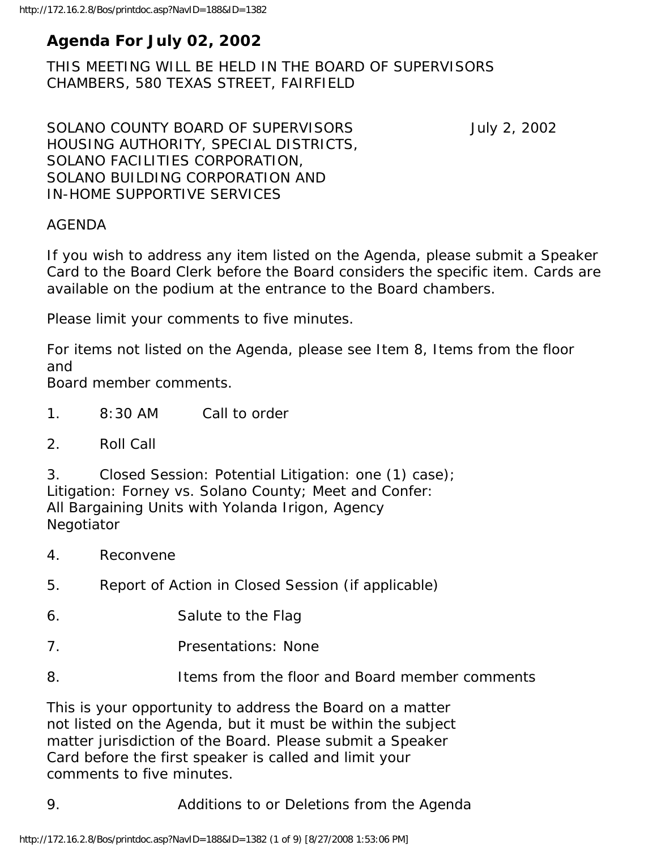# **Agenda For July 02, 2002**

THIS MEETING WILL BE HELD IN THE BOARD OF SUPERVISORS CHAMBERS, 580 TEXAS STREET, FAIRFIELD

SOLANO COUNTY BOARD OF SUPERVISORS July 2, 2002 HOUSING AUTHORITY, SPECIAL DISTRICTS, SOLANO FACILITIES CORPORATION, SOLANO BUILDING CORPORATION AND IN-HOME SUPPORTIVE SERVICES

#### AGENDA

If you wish to address any item listed on the Agenda, please submit a Speaker Card to the Board Clerk before the Board considers the specific item. Cards are available on the podium at the entrance to the Board chambers.

Please limit your comments to five minutes.

For items not listed on the Agenda, please see Item 8, Items from the floor and

Board member comments.

- 1. 8:30 AM Call to order
- 2. Roll Call

3. Closed Session: Potential Litigation: one (1) case); Litigation: Forney vs. Solano County; Meet and Confer: All Bargaining Units with Yolanda Irigon, Agency Negotiator

- 4. Reconvene
- 5. Report of Action in Closed Session (if applicable)
- 6. Salute to the Flag
- 7. Presentations: None
- 8. Items from the floor and Board member comments

This is your opportunity to address the Board on a matter not listed on the Agenda, but it must be within the subject matter jurisdiction of the Board. Please submit a Speaker Card before the first speaker is called and limit your comments to five minutes.

9. Additions to or Deletions from the Agenda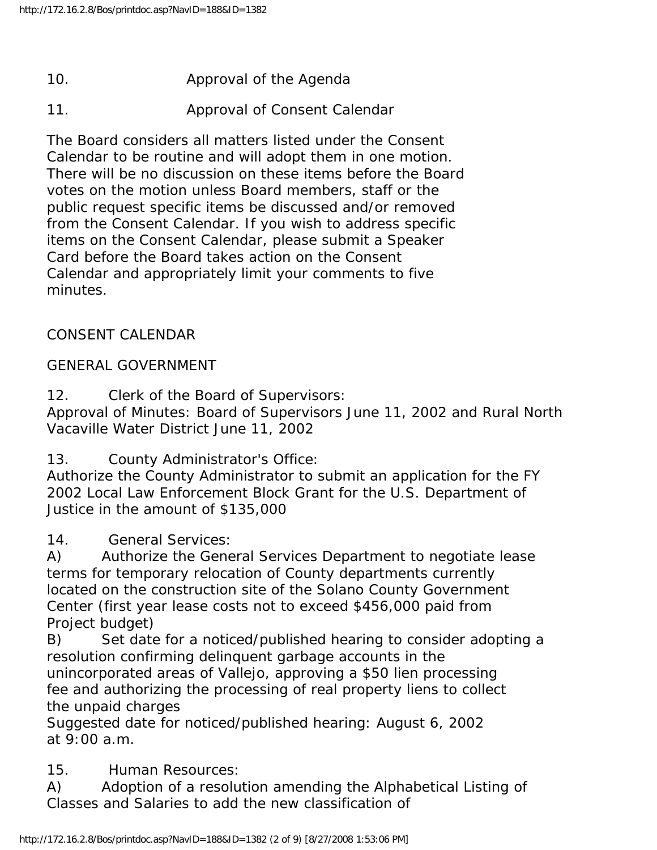- 10. Approval of the Agenda
- 11. Approval of Consent Calendar

The Board considers all matters listed under the Consent Calendar to be routine and will adopt them in one motion. There will be no discussion on these items before the Board votes on the motion unless Board members, staff or the public request specific items be discussed and/or removed from the Consent Calendar. If you wish to address specific items on the Consent Calendar, please submit a Speaker Card before the Board takes action on the Consent Calendar and appropriately limit your comments to five minutes.

#### CONSENT CALENDAR

#### GENERAL GOVERNMENT

12. Clerk of the Board of Supervisors: Approval of Minutes: Board of Supervisors June 11, 2002 and Rural North Vacaville Water District June 11, 2002

13. County Administrator's Office:

Authorize the County Administrator to submit an application for the FY 2002 Local Law Enforcement Block Grant for the U.S. Department of Justice in the amount of \$135,000

14. General Services:

A) Authorize the General Services Department to negotiate lease terms for temporary relocation of County departments currently located on the construction site of the Solano County Government Center (first year lease costs not to exceed \$456,000 paid from Project budget)

B) Set date for a noticed/published hearing to consider adopting a resolution confirming delinquent garbage accounts in the unincorporated areas of Vallejo, approving a \$50 lien processing fee and authorizing the processing of real property liens to collect the unpaid charges

Suggested date for noticed/published hearing: August 6, 2002 at 9:00 a.m.

15. Human Resources:

A) Adoption of a resolution amending the Alphabetical Listing of Classes and Salaries to add the new classification of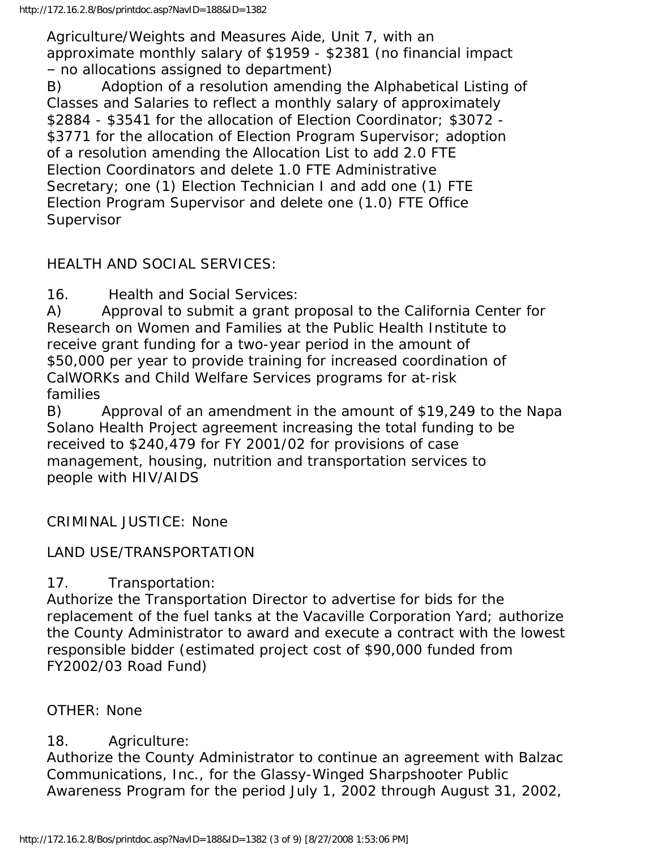Agriculture/Weights and Measures Aide, Unit 7, with an approximate monthly salary of \$1959 - \$2381 (no financial impact – no allocations assigned to department)

B) Adoption of a resolution amending the Alphabetical Listing of Classes and Salaries to reflect a monthly salary of approximately \$2884 - \$3541 for the allocation of Election Coordinator; \$3072 - \$3771 for the allocation of Election Program Supervisor; adoption of a resolution amending the Allocation List to add 2.0 FTE Election Coordinators and delete 1.0 FTE Administrative Secretary; one (1) Election Technician I and add one (1) FTE Election Program Supervisor and delete one (1.0) FTE Office Supervisor

## HEALTH AND SOCIAL SERVICES:

16. Health and Social Services:

A) Approval to submit a grant proposal to the California Center for Research on Women and Families at the Public Health Institute to receive grant funding for a two-year period in the amount of \$50,000 per year to provide training for increased coordination of CalWORKs and Child Welfare Services programs for at-risk families

B) Approval of an amendment in the amount of \$19,249 to the Napa Solano Health Project agreement increasing the total funding to be received to \$240,479 for FY 2001/02 for provisions of case management, housing, nutrition and transportation services to people with HIV/AIDS

CRIMINAL JUSTICE: None

### LAND USE/TRANSPORTATION

17. Transportation:

Authorize the Transportation Director to advertise for bids for the replacement of the fuel tanks at the Vacaville Corporation Yard; authorize the County Administrator to award and execute a contract with the lowest responsible bidder (estimated project cost of \$90,000 funded from FY2002/03 Road Fund)

### OTHER: None

### 18. Agriculture:

Authorize the County Administrator to continue an agreement with Balzac Communications, Inc., for the Glassy-Winged Sharpshooter Public Awareness Program for the period July 1, 2002 through August 31, 2002,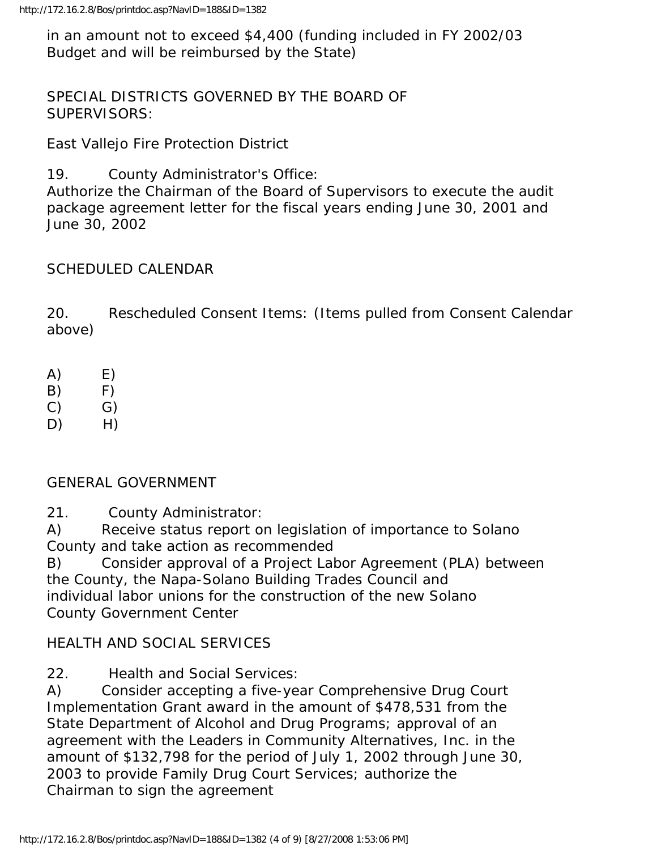in an amount not to exceed \$4,400 (funding included in FY 2002/03 Budget and will be reimbursed by the State)

SPECIAL DISTRICTS GOVERNED BY THE BOARD OF SUPERVISORS:

East Vallejo Fire Protection District

19. County Administrator's Office:

Authorize the Chairman of the Board of Supervisors to execute the audit package agreement letter for the fiscal years ending June 30, 2001 and June 30, 2002

### SCHEDULED CALENDAR

20. Rescheduled Consent Items: (Items pulled from Consent Calendar above)

- $(A)$   $E)$
- $(B)$   $F)$
- $(C)$   $(G)$
- $D)$  H)

### GENERAL GOVERNMENT

21. County Administrator:

A) Receive status report on legislation of importance to Solano County and take action as recommended

B) Consider approval of a Project Labor Agreement (PLA) between the County, the Napa-Solano Building Trades Council and individual labor unions for the construction of the new Solano County Government Center

### HEALTH AND SOCIAL SERVICES

22. Health and Social Services:

A) Consider accepting a five-year Comprehensive Drug Court Implementation Grant award in the amount of \$478,531 from the State Department of Alcohol and Drug Programs; approval of an agreement with the Leaders in Community Alternatives, Inc. in the amount of \$132,798 for the period of July 1, 2002 through June 30, 2003 to provide Family Drug Court Services; authorize the Chairman to sign the agreement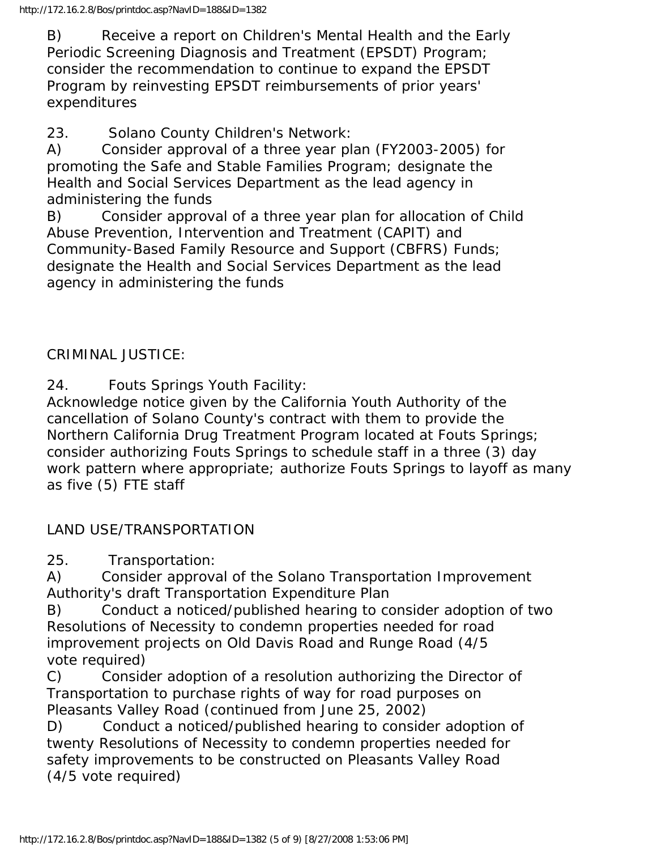B) Receive a report on Children's Mental Health and the Early Periodic Screening Diagnosis and Treatment (EPSDT) Program; consider the recommendation to continue to expand the EPSDT Program by reinvesting EPSDT reimbursements of prior years' expenditures

23. Solano County Children's Network:

A) Consider approval of a three year plan (FY2003-2005) for promoting the Safe and Stable Families Program; designate the Health and Social Services Department as the lead agency in administering the funds

B) Consider approval of a three year plan for allocation of Child Abuse Prevention, Intervention and Treatment (CAPIT) and Community-Based Family Resource and Support (CBFRS) Funds; designate the Health and Social Services Department as the lead agency in administering the funds

CRIMINAL JUSTICE:

24. Fouts Springs Youth Facility:

Acknowledge notice given by the California Youth Authority of the cancellation of Solano County's contract with them to provide the Northern California Drug Treatment Program located at Fouts Springs; consider authorizing Fouts Springs to schedule staff in a three (3) day work pattern where appropriate; authorize Fouts Springs to layoff as many as five (5) FTE staff

LAND USE/TRANSPORTATION

25. Transportation:

A) Consider approval of the Solano Transportation Improvement Authority's draft Transportation Expenditure Plan

B) Conduct a noticed/published hearing to consider adoption of two Resolutions of Necessity to condemn properties needed for road improvement projects on Old Davis Road and Runge Road (4/5 vote required)

C) Consider adoption of a resolution authorizing the Director of Transportation to purchase rights of way for road purposes on Pleasants Valley Road (continued from June 25, 2002)

D) Conduct a noticed/published hearing to consider adoption of twenty Resolutions of Necessity to condemn properties needed for safety improvements to be constructed on Pleasants Valley Road (4/5 vote required)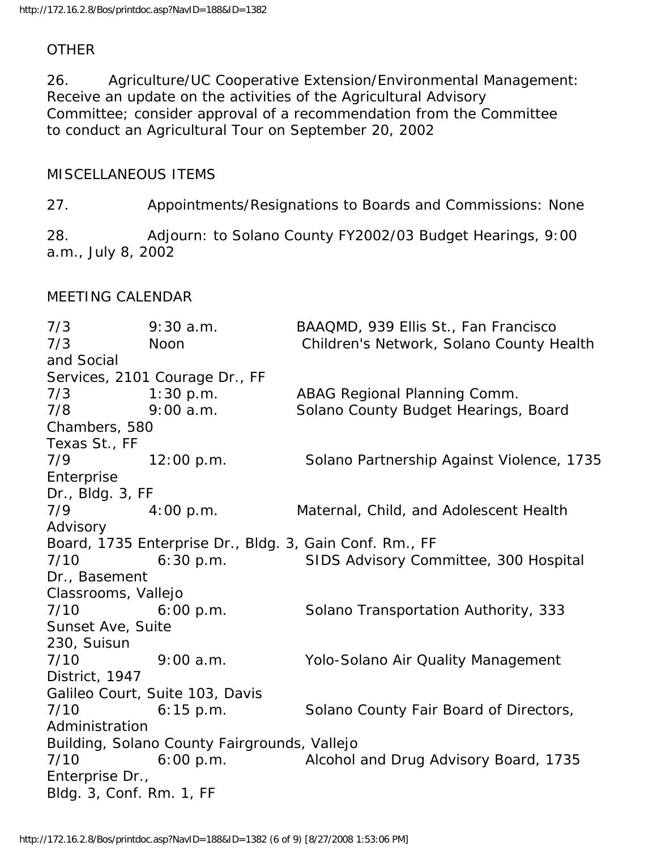#### **OTHER**

26. Agriculture/UC Cooperative Extension/Environmental Management: Receive an update on the activities of the Agricultural Advisory Committee; consider approval of a recommendation from the Committee to conduct an Agricultural Tour on September 20, 2002

#### MISCELLANEOUS ITEMS

27. Appointments/Resignations to Boards and Commissions: None

28. Adjourn: to Solano County FY2002/03 Budget Hearings, 9:00 a.m., July 8, 2002

#### MEETING CALENDAR

7/3 9:30 a.m. BAAQMD, 939 Ellis St., Fan Francisco 7/3 Noon Children's Network, Solano County Health and Social Services, 2101 Courage Dr., FF 7/3 1:30 p.m. ABAG Regional Planning Comm. 7/8 9:00 a.m. Solano County Budget Hearings, Board Chambers, 580 Texas St., FF 7/9 12:00 p.m. Solano Partnership Against Violence, 1735 Enterprise Dr., Bldg. 3, FF 7/9 4:00 p.m. Maternal, Child, and Adolescent Health Advisory Board, 1735 Enterprise Dr., Bldg. 3, Gain Conf. Rm., FF 7/10 6:30 p.m. SIDS Advisory Committee, 300 Hospital Dr., Basement Classrooms, Vallejo 7/10 6:00 p.m. Solano Transportation Authority, 333 Sunset Ave, Suite 230, Suisun 7/10 9:00 a.m. Yolo-Solano Air Quality Management District, 1947 Galileo Court, Suite 103, Davis 7/10 6:15 p.m. Solano County Fair Board of Directors, Administration Building, Solano County Fairgrounds, Vallejo 7/10 6:00 p.m. Alcohol and Drug Advisory Board, 1735 Enterprise Dr., Bldg. 3, Conf. Rm. 1, FF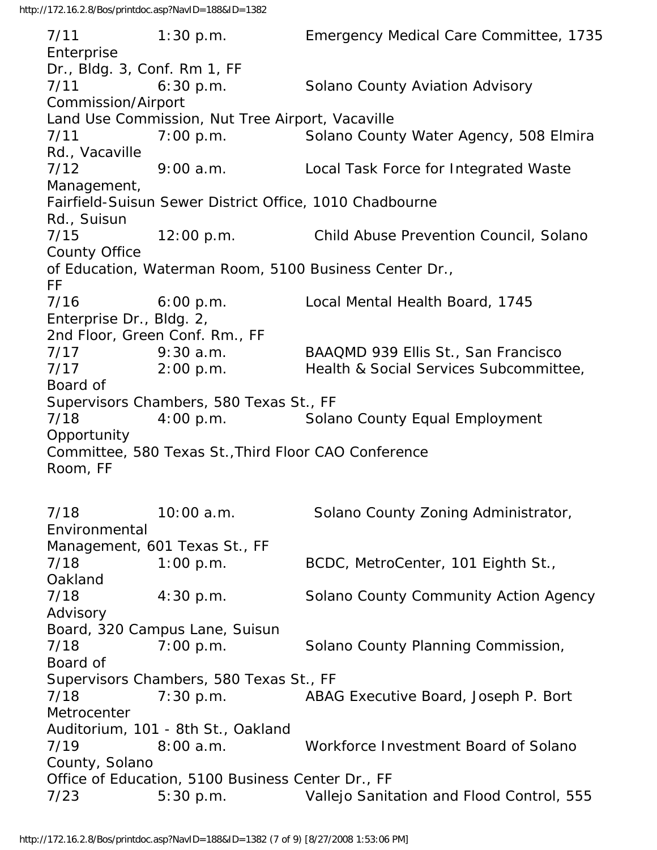7/11 1:30 p.m. Emergency Medical Care Committee, 1735 Enterprise Dr., Bldg. 3, Conf. Rm 1, FF 7/11 6:30 p.m. Solano County Aviation Advisory Commission/Airport Land Use Commission, Nut Tree Airport, Vacaville 7/11 7:00 p.m. Solano County Water Agency, 508 Elmira Rd., Vacaville 7/12 9:00 a.m. Local Task Force for Integrated Waste Management, Fairfield-Suisun Sewer District Office, 1010 Chadbourne Rd., Suisun 7/15 12:00 p.m. Child Abuse Prevention Council, Solano County Office of Education, Waterman Room, 5100 Business Center Dr., FF 7/16 6:00 p.m. Local Mental Health Board, 1745 Enterprise Dr., Bldg. 2, 2nd Floor, Green Conf. Rm., FF 7/17 9:30 a.m. BAAQMD 939 Ellis St., San Francisco 7/17 2:00 p.m. Health & Social Services Subcommittee, Board of Supervisors Chambers, 580 Texas St., FF 7/18 4:00 p.m. Solano County Equal Employment Opportunity Committee, 580 Texas St.,Third Floor CAO Conference Room, FF 7/18 10:00 a.m. Solano County Zoning Administrator, Environmental Management, 601 Texas St., FF 7/18 1:00 p.m. BCDC, MetroCenter, 101 Eighth St., Oakland 7/18 4:30 p.m. Solano County Community Action Agency Advisory Board, 320 Campus Lane, Suisun 7/18 7:00 p.m. Solano County Planning Commission, Board of Supervisors Chambers, 580 Texas St., FF 7/18 7:30 p.m. ABAG Executive Board, Joseph P. Bort **Metrocenter** Auditorium, 101 - 8th St., Oakland 7/19 8:00 a.m. Workforce Investment Board of Solano County, Solano Office of Education, 5100 Business Center Dr., FF 7/23 5:30 p.m. Vallejo Sanitation and Flood Control, 555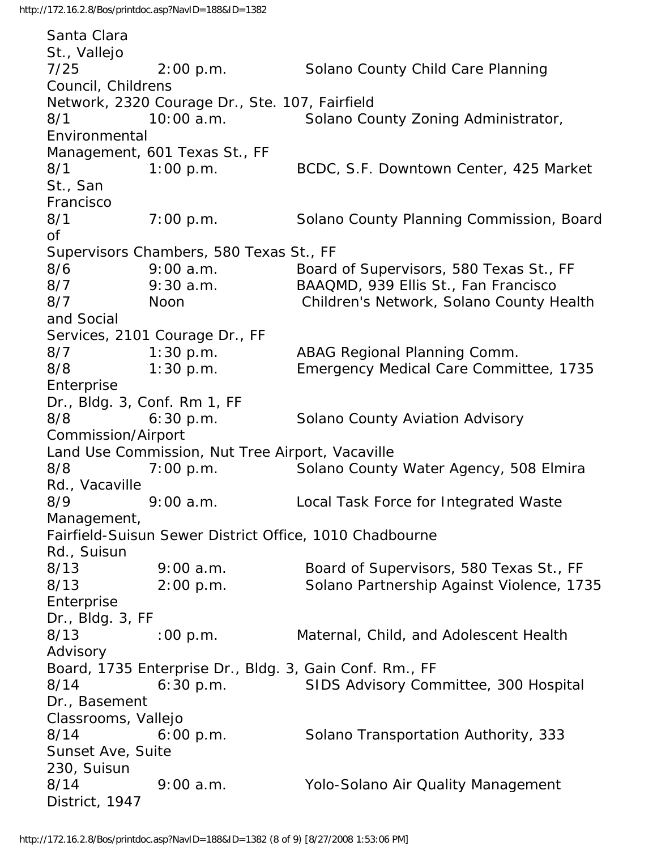Santa Clara St., Vallejo 7/25 2:00 p.m. Solano County Child Care Planning Council, Childrens Network, 2320 Courage Dr., Ste. 107, Fairfield 8/1 10:00 a.m. Solano County Zoning Administrator, Environmental Management, 601 Texas St., FF 8/1 1:00 p.m. BCDC, S.F. Downtown Center, 425 Market St., San Francisco 8/1 7:00 p.m. Solano County Planning Commission, Board of Supervisors Chambers, 580 Texas St., FF 8/6 9:00 a.m. Board of Supervisors, 580 Texas St., FF 8/7 9:30 a.m. BAAQMD, 939 Ellis St., Fan Francisco 8/7 Noon Children's Network, Solano County Health and Social Services, 2101 Courage Dr., FF 8/7 1:30 p.m. ABAG Regional Planning Comm. 8/8 1:30 p.m. Emergency Medical Care Committee, 1735 Enterprise Dr., Bldg. 3, Conf. Rm 1, FF 8/8 6:30 p.m. Solano County Aviation Advisory Commission/Airport Land Use Commission, Nut Tree Airport, Vacaville 8/8 7:00 p.m. Solano County Water Agency, 508 Elmira Rd., Vacaville 8/9 9:00 a.m. Local Task Force for Integrated Waste Management, Fairfield-Suisun Sewer District Office, 1010 Chadbourne Rd., Suisun 8/13 9:00 a.m. Board of Supervisors, 580 Texas St., FF 8/13 2:00 p.m. Solano Partnership Against Violence, 1735 Enterprise Dr., Bldg. 3, FF 8/13 :00 p.m. Maternal, Child, and Adolescent Health Advisory Board, 1735 Enterprise Dr., Bldg. 3, Gain Conf. Rm., FF 8/14 6:30 p.m. SIDS Advisory Committee, 300 Hospital Dr., Basement Classrooms, Vallejo 8/14 6:00 p.m. Solano Transportation Authority, 333 Sunset Ave, Suite 230, Suisun 8/14 9:00 a.m. Yolo-Solano Air Quality Management District, 1947